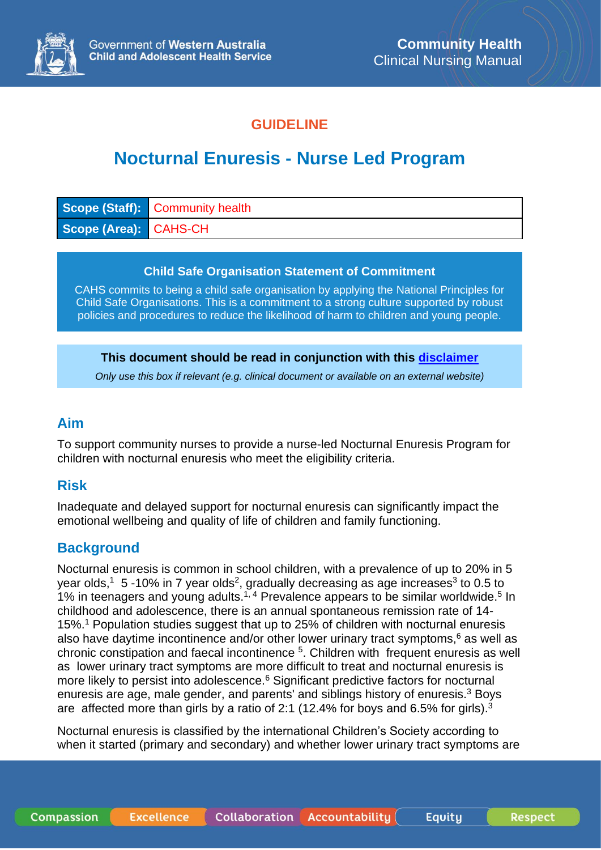

# **GUIDELINE**

# **Nocturnal Enuresis - Nurse Led Program**

|                       | <b>Scope (Staff):</b> Community health |
|-----------------------|----------------------------------------|
| Scope (Area): CAHS-CH |                                        |

#### **Child Safe Organisation Statement of Commitment**

CAHS commits to being a child safe organisation by applying the National Principles for Child Safe Organisations. This is a commitment to a strong culture supported by robust policies and procedures to reduce the likelihood of harm to children and young people.

#### **This document should be read in conjunction with this [disclaimer](https://www.cahs.health.wa.gov.au/For-health-professionals/Resources/CAHS-Clinical-Disclaimer)**

*Only use this box if relevant (e.g. clinical document or available on an external website)*

## **Aim**

To support community nurses to provide a nurse-led Nocturnal Enuresis Program for children with nocturnal enuresis who meet the eligibility criteria.

## **Risk**

Inadequate and delayed support for nocturnal enuresis can significantly impact the emotional wellbeing and quality of life of children and family functioning.

## **Background**

Nocturnal enuresis is common in school children, with a prevalence of up to 20% in 5 year olds,<sup>1</sup> 5 -10% in 7 year olds<sup>2</sup>, gradually decreasing as age increases<sup>3</sup> to 0.5 to 1% in teenagers and young adults.<sup>1, 4</sup> Prevalence appears to be similar worldwide.<sup>5</sup> In childhood and adolescence, there is an annual spontaneous remission rate of 14- 15%.<sup>1</sup> Population studies suggest that up to 25% of children with nocturnal enuresis also have daytime incontinence and/or other lower urinary tract symptoms, <sup>6</sup> as well as chronic constipation and faecal incontinence <sup>5</sup>. Children with frequent enuresis as well as lower urinary tract symptoms are more difficult to treat and nocturnal enuresis is more likely to persist into adolescence.<sup>6</sup> Significant predictive factors for nocturnal enuresis are age, male gender, and parents' and siblings history of enuresis.<sup>3</sup> Boys are affected more than girls by a ratio of 2:1 (12.4% for boys and 6.5% for girls).<sup>3</sup>

Nocturnal enuresis is classified by the international Children's Society according to when it started (primary and secondary) and whether lower urinary tract symptoms are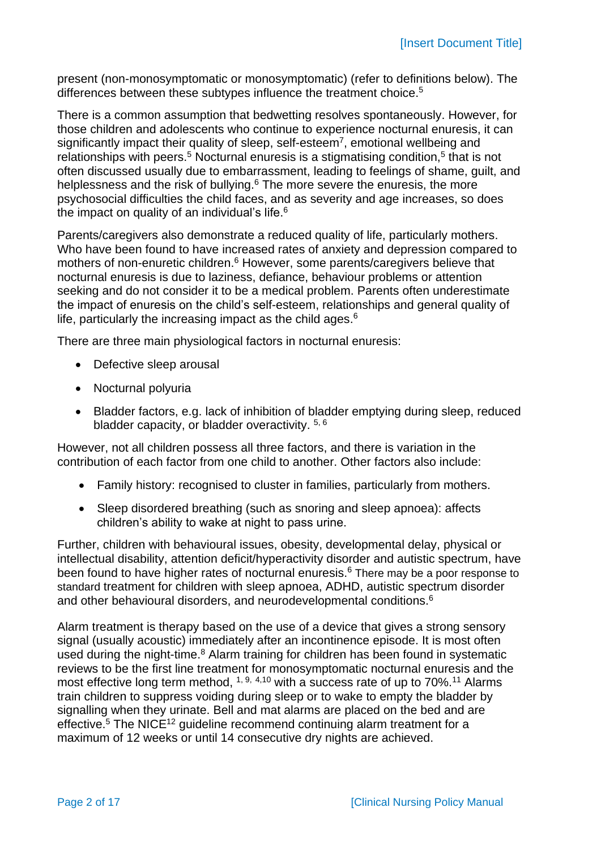present (non-monosymptomatic or monosymptomatic) (refer to definitions below). The differences between these subtypes influence the treatment choice.<sup>5</sup>

There is a common assumption that bedwetting resolves spontaneously. However, for those children and adolescents who continue to experience nocturnal enuresis, it can significantly impact their quality of sleep, self-esteem<sup>7</sup>, emotional wellbeing and relationships with peers.<sup>5</sup> Nocturnal enuresis is a stigmatising condition,<sup>5</sup> that is not often discussed usually due to embarrassment, leading to feelings of shame, guilt, and helplessness and the risk of bullying.<sup>6</sup> The more severe the enuresis, the more psychosocial difficulties the child faces, and as severity and age increases, so does the impact on quality of an individual's life.<sup>6</sup>

Parents/caregivers also demonstrate a reduced quality of life, particularly mothers. Who have been found to have increased rates of anxiety and depression compared to mothers of non-enuretic children.<sup>6</sup> However, some parents/caregivers believe that nocturnal enuresis is due to laziness, defiance, behaviour problems or attention seeking and do not consider it to be a medical problem. Parents often underestimate the impact of enuresis on the child's self-esteem, relationships and general quality of life, particularly the increasing impact as the child ages. $6$ 

There are three main physiological factors in nocturnal enuresis:

- Defective sleep arousal
- Nocturnal polyuria
- Bladder factors, e.g. lack of inhibition of bladder emptying during sleep, reduced bladder capacity, or bladder overactivity. 5, 6

However, not all children possess all three factors, and there is variation in the contribution of each factor from one child to another. Other factors also include:

- Family history: recognised to cluster in families, particularly from mothers.
- Sleep disordered breathing (such as snoring and sleep apnoea): affects children's ability to wake at night to pass urine.

Further, children with behavioural issues, obesity, developmental delay, physical or intellectual disability, attention deficit/hyperactivity disorder and autistic spectrum, have been found to have higher rates of nocturnal enuresis.<sup>6</sup> There may be a poor response to standard treatment for children with sleep apnoea, ADHD, autistic spectrum disorder and other behavioural disorders, and neurodevelopmental conditions.<sup>6</sup>

Alarm treatment is therapy based on the use of a device that gives a strong sensory signal (usually acoustic) immediately after an incontinence episode. It is most often used during the night-time.<sup>8</sup> Alarm training for children has been found in systematic reviews to be the first line treatment for monosymptomatic nocturnal enuresis and the most effective long term method,  $1, 9, 4, 10$  with a success rate of up to 70%.<sup>11</sup> Alarms train children to suppress voiding during sleep or to wake to empty the bladder by signalling when they urinate. Bell and mat alarms are placed on the bed and are effective.<sup>5</sup> The NICE<sup>12</sup> guideline recommend continuing alarm treatment for a maximum of 12 weeks or until 14 consecutive dry nights are achieved.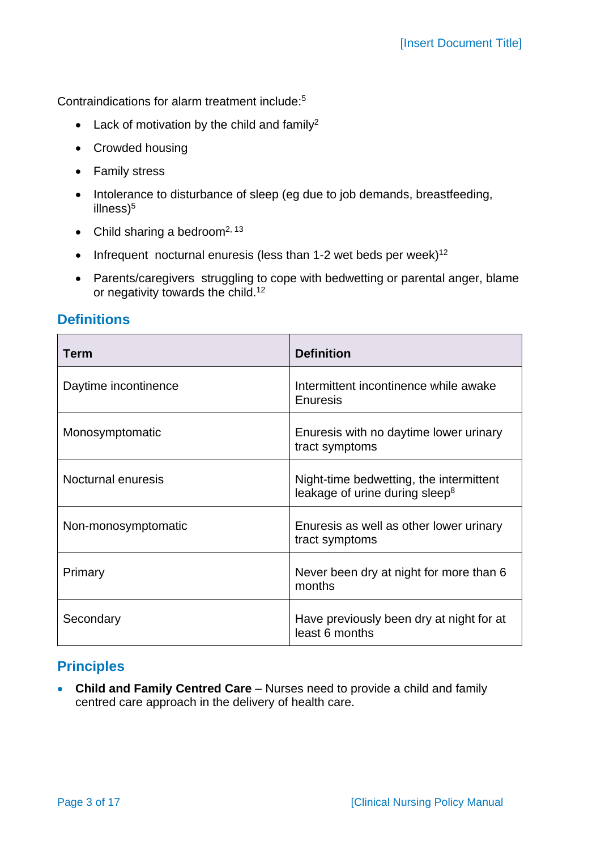Contraindications for alarm treatment include: 5

- Lack of motivation by the child and family<sup>2</sup>
- Crowded housing
- Family stress
- Intolerance to disturbance of sleep (eg due to job demands, breastfeeding, illness)<sup>5</sup>
- Child sharing a bedroom<sup>2, 13</sup>
- $\bullet$  Infrequent nocturnal enuresis (less than 1-2 wet beds per week)<sup>12</sup>
- Parents/caregivers struggling to cope with bedwetting or parental anger, blame or negativity towards the child.<sup>12</sup>

## **Definitions**

| Term                 | <b>Definition</b>                                                                     |
|----------------------|---------------------------------------------------------------------------------------|
| Daytime incontinence | Intermittent incontinence while awake<br>Enuresis                                     |
| Monosymptomatic      | Enuresis with no daytime lower urinary<br>tract symptoms                              |
| Nocturnal enuresis   | Night-time bedwetting, the intermittent<br>leakage of urine during sleep <sup>8</sup> |
| Non-monosymptomatic  | Enuresis as well as other lower urinary<br>tract symptoms                             |
| Primary              | Never been dry at night for more than 6<br>months                                     |
| Secondary            | Have previously been dry at night for at<br>least 6 months                            |

# **Principles**

• **Child and Family Centred Care** – Nurses need to provide a child and family centred care approach in the delivery of health care.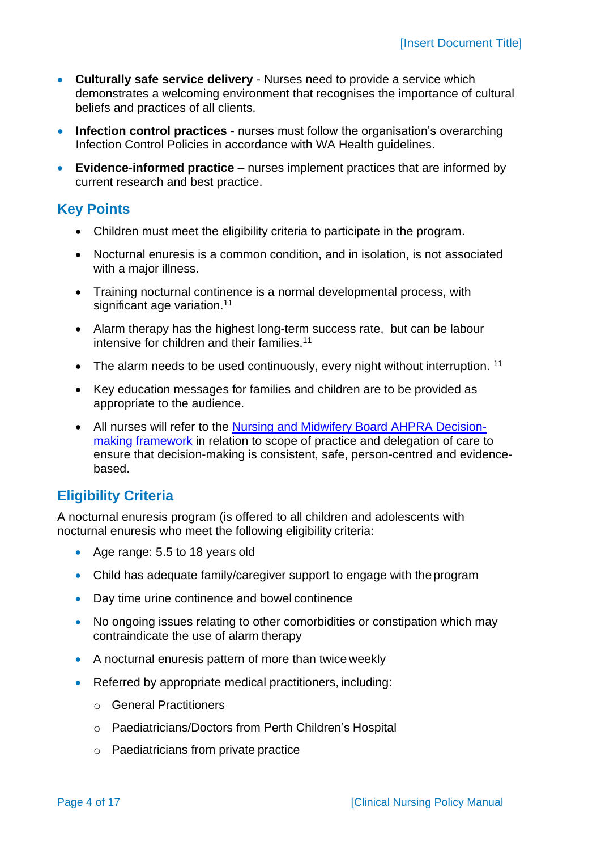- **Culturally safe service delivery** Nurses need to provide a service which demonstrates a welcoming environment that recognises the importance of cultural beliefs and practices of all clients.
- **Infection control practices** nurses must follow the organisation's overarching Infection Control Policies in accordance with WA Health guidelines.
- **Evidence-informed practice** nurses implement practices that are informed by current research and best practice.

## **Key Points**

- Children must meet the eligibility criteria to participate in the program.
- Nocturnal enuresis is a common condition, and in isolation, is not associated with a major illness.
- Training nocturnal continence is a normal developmental process, with significant age variation.<sup>11</sup>
- Alarm therapy has the highest long-term success rate, but can be labour intensive for children and their families.<sup>11</sup>
- The alarm needs to be used continuously, every night without interruption.<sup>11</sup>
- Key education messages for families and children are to be provided as appropriate to the audience.
- All nurses will refer to the [Nursing and Midwifery Board AHPRA Decision](https://www.nursingmidwiferyboard.gov.au/Codes-Guidelines-Statements/Frameworks.aspx)[making framework](https://www.nursingmidwiferyboard.gov.au/Codes-Guidelines-Statements/Frameworks.aspx) in relation to scope of practice and delegation of care to ensure that decision-making is consistent, safe, person-centred and evidencebased.

# **Eligibility Criteria**

A nocturnal enuresis program (is offered to all children and adolescents with nocturnal enuresis who meet the following eligibility criteria:

- Age range: 5.5 to 18 years old
- Child has adequate family/caregiver support to engage with the program
- Day time urine continence and bowel continence
- No ongoing issues relating to other comorbidities or constipation which may contraindicate the use of alarm therapy
- A nocturnal enuresis pattern of more than twice weekly
- Referred by appropriate medical practitioners, including:
	- o General Practitioners
	- o Paediatricians/Doctors from Perth Children's Hospital
	- o Paediatricians from private practice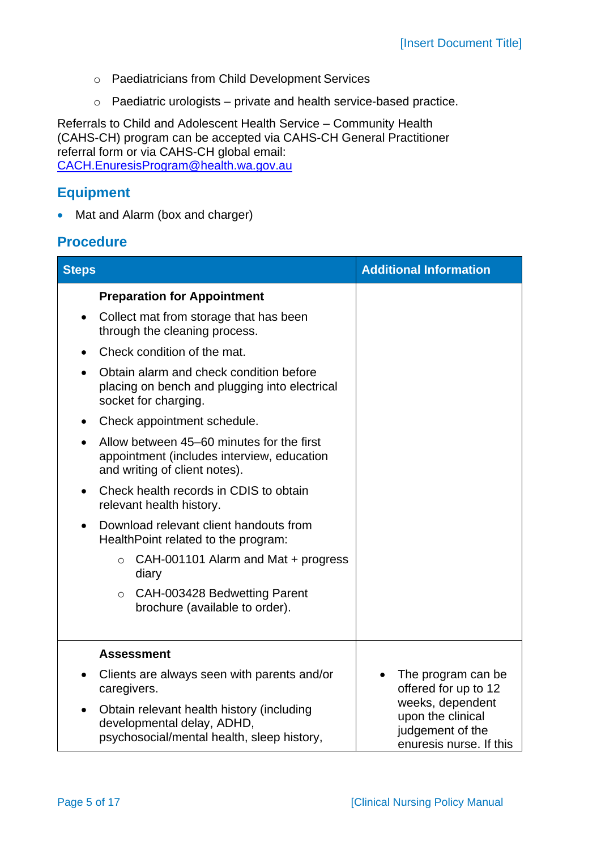- o Paediatricians from Child Development Services
- o Paediatric urologists private and health service-based practice.

Referrals to Child and Adolescent Health Service – Community Health (CAHS-CH) program can be accepted via CAHS-CH General Practitioner referral form or via CAHS-CH global email: [CACH.EnuresisProgram@health.wa.gov.au](mailto:CACH.EnuresisProgram@health.wa.gov.au)

# **Equipment**

• Mat and Alarm (box and charger)

# **Procedure**

| <b>Steps</b>                                                                                                                                                                                                                                                                                                                                                                                                                                                                                                                                                                                                                                        | <b>Additional Information</b>                                                                                                      |
|-----------------------------------------------------------------------------------------------------------------------------------------------------------------------------------------------------------------------------------------------------------------------------------------------------------------------------------------------------------------------------------------------------------------------------------------------------------------------------------------------------------------------------------------------------------------------------------------------------------------------------------------------------|------------------------------------------------------------------------------------------------------------------------------------|
| <b>Preparation for Appointment</b><br>Collect mat from storage that has been<br>$\bullet$<br>through the cleaning process.<br>Check condition of the mat.<br>$\bullet$<br>Obtain alarm and check condition before<br>placing on bench and plugging into electrical<br>socket for charging.<br>Check appointment schedule.<br>$\bullet$<br>Allow between 45–60 minutes for the first<br>appointment (includes interview, education<br>and writing of client notes).<br>Check health records in CDIS to obtain<br>$\bullet$<br>relevant health history.<br>Download relevant client handouts from<br>$\bullet$<br>HealthPoint related to the program: |                                                                                                                                    |
| CAH-001101 Alarm and Mat + progress<br>$\circ$<br>diary<br>CAH-003428 Bedwetting Parent<br>$\circ$<br>brochure (available to order).                                                                                                                                                                                                                                                                                                                                                                                                                                                                                                                |                                                                                                                                    |
| <b>Assessment</b>                                                                                                                                                                                                                                                                                                                                                                                                                                                                                                                                                                                                                                   |                                                                                                                                    |
| Clients are always seen with parents and/or<br>$\bullet$<br>caregivers.<br>Obtain relevant health history (including<br>$\bullet$<br>developmental delay, ADHD,<br>psychosocial/mental health, sleep history,                                                                                                                                                                                                                                                                                                                                                                                                                                       | The program can be<br>offered for up to 12<br>weeks, dependent<br>upon the clinical<br>judgement of the<br>enuresis nurse. If this |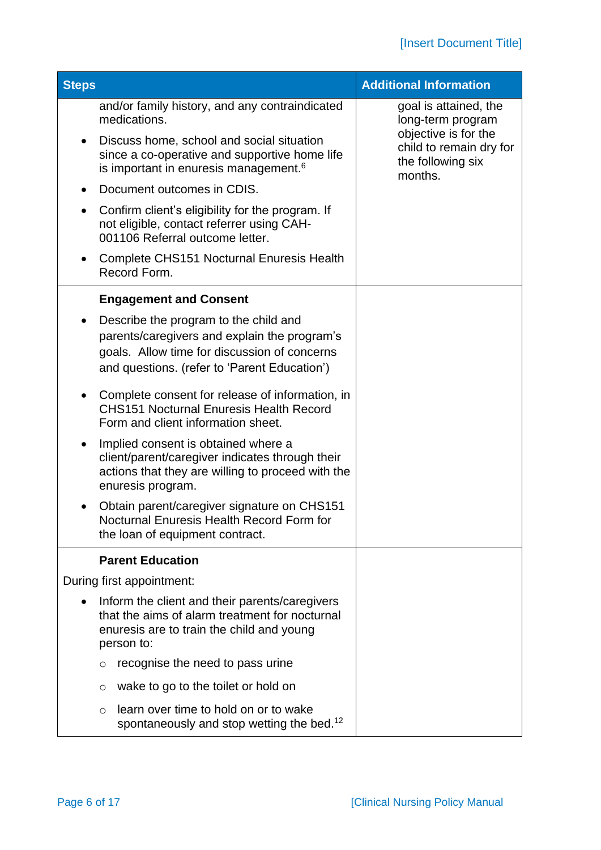| <b>Steps</b> |                                                                                                                                                                                       | <b>Additional Information</b>                                                   |
|--------------|---------------------------------------------------------------------------------------------------------------------------------------------------------------------------------------|---------------------------------------------------------------------------------|
|              | and/or family history, and any contraindicated<br>medications.                                                                                                                        | goal is attained, the<br>long-term program                                      |
| $\bullet$    | Discuss home, school and social situation<br>since a co-operative and supportive home life<br>is important in enuresis management. <sup>6</sup>                                       | objective is for the<br>child to remain dry for<br>the following six<br>months. |
|              | Document outcomes in CDIS.                                                                                                                                                            |                                                                                 |
|              | Confirm client's eligibility for the program. If<br>not eligible, contact referrer using CAH-<br>001106 Referral outcome letter.                                                      |                                                                                 |
|              | Complete CHS151 Nocturnal Enuresis Health<br>Record Form.                                                                                                                             |                                                                                 |
|              | <b>Engagement and Consent</b>                                                                                                                                                         |                                                                                 |
|              | Describe the program to the child and<br>parents/caregivers and explain the program's<br>goals. Allow time for discussion of concerns<br>and questions. (refer to 'Parent Education') |                                                                                 |
|              | Complete consent for release of information, in<br><b>CHS151 Nocturnal Enuresis Health Record</b><br>Form and client information sheet.                                               |                                                                                 |
| $\bullet$    | Implied consent is obtained where a<br>client/parent/caregiver indicates through their<br>actions that they are willing to proceed with the<br>enuresis program.                      |                                                                                 |
|              | Obtain parent/caregiver signature on CHS151<br>Nocturnal Enuresis Health Record Form for<br>the loan of equipment contract.                                                           |                                                                                 |
|              | <b>Parent Education</b>                                                                                                                                                               |                                                                                 |
|              | During first appointment:                                                                                                                                                             |                                                                                 |
|              | Inform the client and their parents/caregivers<br>that the aims of alarm treatment for nocturnal<br>enuresis are to train the child and young<br>person to:                           |                                                                                 |
|              | recognise the need to pass urine<br>$\circ$                                                                                                                                           |                                                                                 |
|              | wake to go to the toilet or hold on<br>$\circ$                                                                                                                                        |                                                                                 |
|              | learn over time to hold on or to wake<br>$\circ$<br>spontaneously and stop wetting the bed. <sup>12</sup>                                                                             |                                                                                 |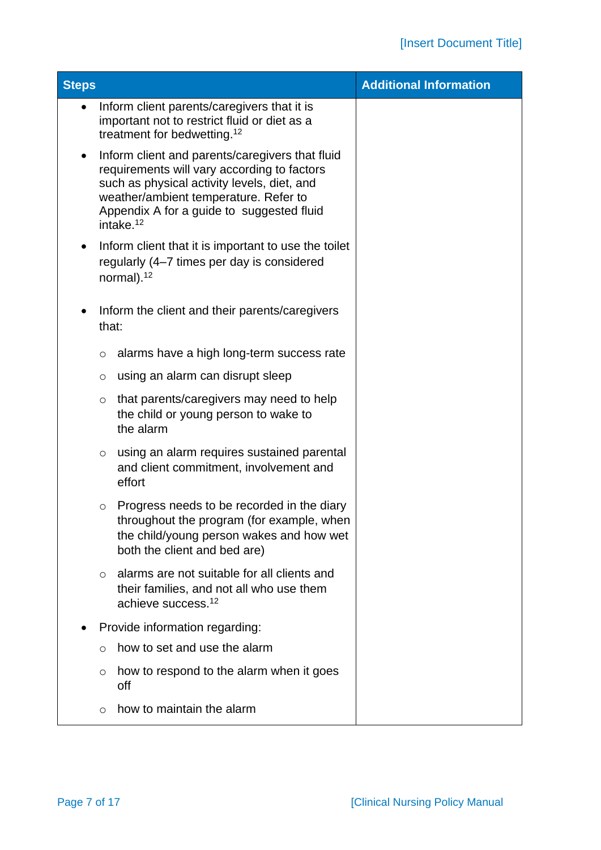| <b>Steps</b> |         |                                                                                                                                                                                                                                                              | <b>Additional Information</b> |
|--------------|---------|--------------------------------------------------------------------------------------------------------------------------------------------------------------------------------------------------------------------------------------------------------------|-------------------------------|
| $\bullet$    |         | Inform client parents/caregivers that it is<br>important not to restrict fluid or diet as a<br>treatment for bedwetting. <sup>12</sup>                                                                                                                       |                               |
| $\bullet$    |         | Inform client and parents/caregivers that fluid<br>requirements will vary according to factors<br>such as physical activity levels, diet, and<br>weather/ambient temperature. Refer to<br>Appendix A for a guide to suggested fluid<br>intake. <sup>12</sup> |                               |
| $\bullet$    |         | Inform client that it is important to use the toilet<br>regularly (4–7 times per day is considered<br>normal). <sup>12</sup>                                                                                                                                 |                               |
|              | that:   | Inform the client and their parents/caregivers                                                                                                                                                                                                               |                               |
|              | $\circ$ | alarms have a high long-term success rate                                                                                                                                                                                                                    |                               |
|              | O       | using an alarm can disrupt sleep                                                                                                                                                                                                                             |                               |
|              | $\circ$ | that parents/caregivers may need to help<br>the child or young person to wake to<br>the alarm                                                                                                                                                                |                               |
|              | $\circ$ | using an alarm requires sustained parental<br>and client commitment, involvement and<br>effort                                                                                                                                                               |                               |
|              | $\circ$ | Progress needs to be recorded in the diary<br>throughout the program (for example, when<br>the child/young person wakes and how wet<br>both the client and bed are)                                                                                          |                               |
|              | $\circ$ | alarms are not suitable for all clients and<br>their families, and not all who use them<br>achieve success. <sup>12</sup>                                                                                                                                    |                               |
|              |         | Provide information regarding:                                                                                                                                                                                                                               |                               |
|              | $\circ$ | how to set and use the alarm                                                                                                                                                                                                                                 |                               |
|              | O       | how to respond to the alarm when it goes<br>off                                                                                                                                                                                                              |                               |
|              | $\circ$ | how to maintain the alarm                                                                                                                                                                                                                                    |                               |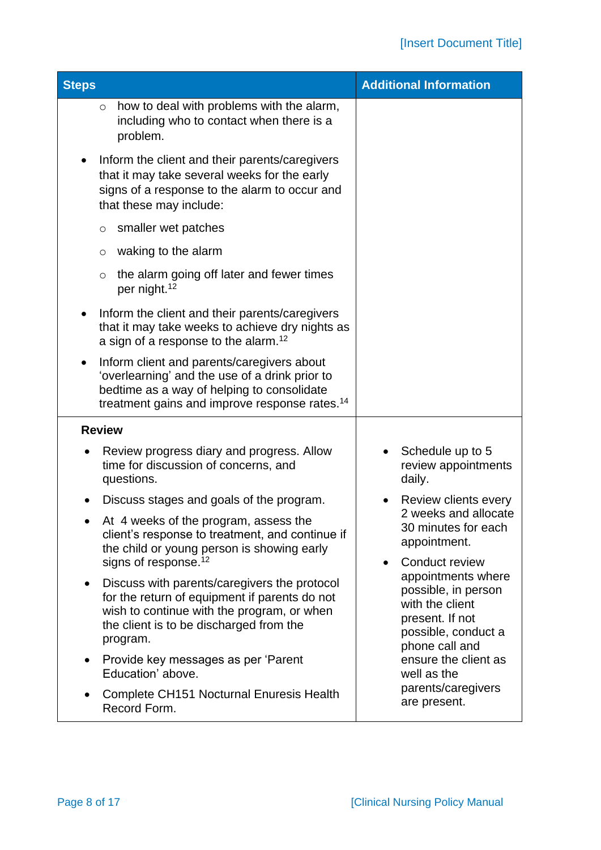| <b>Steps</b>                                                                                                                                                                                                    | <b>Additional Information</b>                                                                      |
|-----------------------------------------------------------------------------------------------------------------------------------------------------------------------------------------------------------------|----------------------------------------------------------------------------------------------------|
| how to deal with problems with the alarm,<br>$\circ$<br>including who to contact when there is a<br>problem.                                                                                                    |                                                                                                    |
| Inform the client and their parents/caregivers<br>that it may take several weeks for the early<br>signs of a response to the alarm to occur and<br>that these may include:                                      |                                                                                                    |
| smaller wet patches<br>$\circ$                                                                                                                                                                                  |                                                                                                    |
| waking to the alarm<br>$\circ$                                                                                                                                                                                  |                                                                                                    |
| the alarm going off later and fewer times<br>$\circ$<br>per night. <sup>12</sup>                                                                                                                                |                                                                                                    |
| Inform the client and their parents/caregivers<br>that it may take weeks to achieve dry nights as<br>a sign of a response to the alarm. <sup>12</sup>                                                           |                                                                                                    |
| Inform client and parents/caregivers about<br>'overlearning' and the use of a drink prior to<br>bedtime as a way of helping to consolidate<br>treatment gains and improve response rates. <sup>14</sup>         |                                                                                                    |
| <b>Review</b>                                                                                                                                                                                                   |                                                                                                    |
| Review progress diary and progress. Allow<br>time for discussion of concerns, and<br>questions.                                                                                                                 | Schedule up to 5<br>review appointments<br>daily.                                                  |
| Discuss stages and goals of the program.                                                                                                                                                                        | Review clients every                                                                               |
| At 4 weeks of the program, assess the<br>client's response to treatment, and continue if<br>the child or young person is showing early                                                                          | 2 weeks and allocate<br>30 minutes for each<br>appointment.                                        |
| signs of response. <sup>12</sup>                                                                                                                                                                                | Conduct review<br>$\bullet$<br>appointments where                                                  |
| Discuss with parents/caregivers the protocol<br>$\bullet$<br>for the return of equipment if parents do not<br>wish to continue with the program, or when<br>the client is to be discharged from the<br>program. | possible, in person<br>with the client<br>present. If not<br>possible, conduct a<br>phone call and |
| Provide key messages as per 'Parent<br>$\bullet$<br>Education' above.                                                                                                                                           | ensure the client as<br>well as the                                                                |
| <b>Complete CH151 Nocturnal Enuresis Health</b><br>$\bullet$<br>Record Form.                                                                                                                                    | parents/caregivers<br>are present.                                                                 |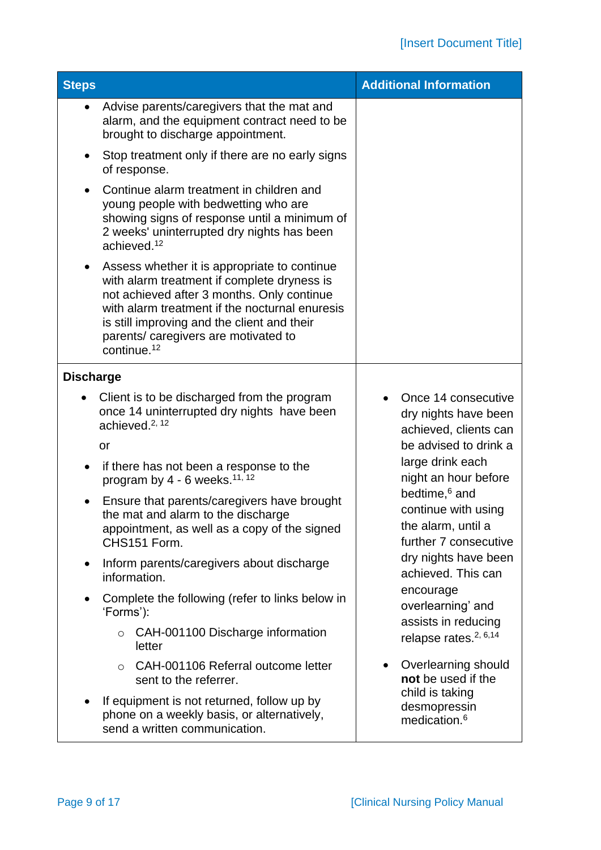| <b>Steps</b>                                                                                                                                                                                                                                                                                         | <b>Additional Information</b>                                                                   |
|------------------------------------------------------------------------------------------------------------------------------------------------------------------------------------------------------------------------------------------------------------------------------------------------------|-------------------------------------------------------------------------------------------------|
| Advise parents/caregivers that the mat and<br>alarm, and the equipment contract need to be<br>brought to discharge appointment.                                                                                                                                                                      |                                                                                                 |
| Stop treatment only if there are no early signs<br>of response.                                                                                                                                                                                                                                      |                                                                                                 |
| Continue alarm treatment in children and<br>young people with bedwetting who are<br>showing signs of response until a minimum of<br>2 weeks' uninterrupted dry nights has been<br>achieved. <sup>12</sup>                                                                                            |                                                                                                 |
| Assess whether it is appropriate to continue<br>with alarm treatment if complete dryness is<br>not achieved after 3 months. Only continue<br>with alarm treatment if the nocturnal enuresis<br>is still improving and the client and their<br>parents/ caregivers are motivated to<br>continue. $12$ |                                                                                                 |
| <b>Discharge</b>                                                                                                                                                                                                                                                                                     |                                                                                                 |
| Client is to be discharged from the program<br>once 14 uninterrupted dry nights have been<br>achieved. <sup>2, 12</sup>                                                                                                                                                                              | Once 14 consecutive<br>dry nights have been<br>achieved, clients can                            |
| or                                                                                                                                                                                                                                                                                                   | be advised to drink a                                                                           |
| if there has not been a response to the<br>$\bullet$<br>program by 4 - 6 weeks. <sup>11, 12</sup>                                                                                                                                                                                                    | large drink each<br>night an hour before                                                        |
| Ensure that parents/caregivers have brought<br>the mat and alarm to the discharge<br>appointment, as well as a copy of the signed<br>CHS151 Form.                                                                                                                                                    | bedtime, <sup>6</sup> and<br>continue with using<br>the alarm, until a<br>further 7 consecutive |
| Inform parents/caregivers about discharge<br>$\bullet$<br>information.                                                                                                                                                                                                                               | dry nights have been<br>achieved. This can                                                      |
| Complete the following (refer to links below in<br>٠<br>'Forms'):                                                                                                                                                                                                                                    | encourage<br>overlearning' and                                                                  |
| CAH-001100 Discharge information<br>$\circ$<br>letter                                                                                                                                                                                                                                                | assists in reducing<br>relapse rates. <sup>2, 6,14</sup>                                        |
| CAH-001106 Referral outcome letter<br>$\circ$<br>sent to the referrer.                                                                                                                                                                                                                               | Overlearning should<br>not be used if the                                                       |
| If equipment is not returned, follow up by<br>phone on a weekly basis, or alternatively,<br>send a written communication.                                                                                                                                                                            | child is taking<br>desmopressin<br>medication. <sup>6</sup>                                     |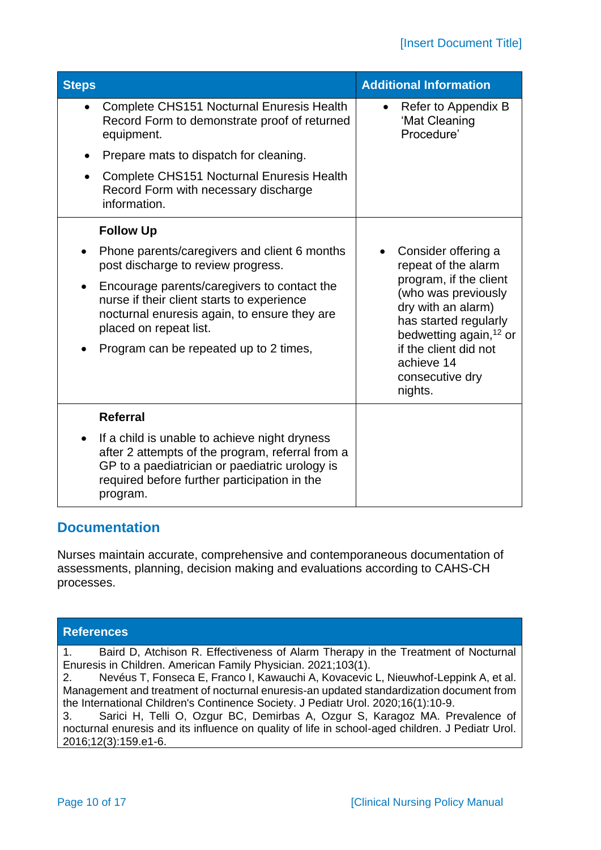| <b>Steps</b> |                                                                                                                                                                                                                 | <b>Additional Information</b>                                                                                                      |
|--------------|-----------------------------------------------------------------------------------------------------------------------------------------------------------------------------------------------------------------|------------------------------------------------------------------------------------------------------------------------------------|
| $\bullet$    | <b>Complete CHS151 Nocturnal Enuresis Health</b><br>Record Form to demonstrate proof of returned<br>equipment.                                                                                                  | Refer to Appendix B<br>'Mat Cleaning<br>Procedure'                                                                                 |
| $\bullet$    | Prepare mats to dispatch for cleaning.                                                                                                                                                                          |                                                                                                                                    |
|              | Complete CHS151 Nocturnal Enuresis Health<br>Record Form with necessary discharge<br>information.                                                                                                               |                                                                                                                                    |
|              | <b>Follow Up</b>                                                                                                                                                                                                |                                                                                                                                    |
|              | Phone parents/caregivers and client 6 months<br>post discharge to review progress.                                                                                                                              | Consider offering a<br>repeat of the alarm                                                                                         |
|              | Encourage parents/caregivers to contact the<br>nurse if their client starts to experience<br>nocturnal enuresis again, to ensure they are<br>placed on repeat list.                                             | program, if the client<br>(who was previously<br>dry with an alarm)<br>has started regularly<br>bedwetting again, <sup>12</sup> or |
|              | Program can be repeated up to 2 times,                                                                                                                                                                          | if the client did not<br>achieve 14<br>consecutive dry<br>nights.                                                                  |
|              | <b>Referral</b>                                                                                                                                                                                                 |                                                                                                                                    |
|              | If a child is unable to achieve night dryness<br>after 2 attempts of the program, referral from a<br>GP to a paediatrician or paediatric urology is<br>required before further participation in the<br>program. |                                                                                                                                    |

# **Documentation**

Nurses maintain accurate, comprehensive and contemporaneous documentation of assessments, planning, decision making and evaluations according to CAHS-CH processes.

## **References**

1. Baird D, Atchison R. Effectiveness of Alarm Therapy in the Treatment of Nocturnal Enuresis in Children. American Family Physician. 2021;103(1).

2. Nevéus T, Fonseca E, Franco I, Kawauchi A, Kovacevic L, Nieuwhof-Leppink A, et al. Management and treatment of nocturnal enuresis-an updated standardization document from the International Children's Continence Society. J Pediatr Urol. 2020;16(1):10-9.

3. Sarici H, Telli O, Ozgur BC, Demirbas A, Ozgur S, Karagoz MA. Prevalence of nocturnal enuresis and its influence on quality of life in school-aged children. J Pediatr Urol. 2016;12(3):159.e1-6.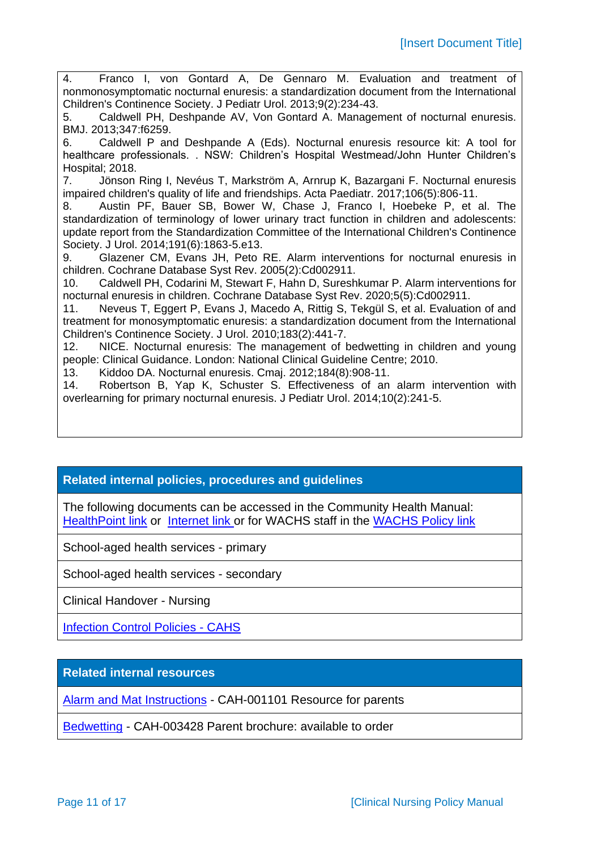4. Franco I, von Gontard A, De Gennaro M. Evaluation and treatment of nonmonosymptomatic nocturnal enuresis: a standardization document from the International Children's Continence Society. J Pediatr Urol. 2013;9(2):234-43. 5. Caldwell PH, Deshpande AV, Von Gontard A. Management of nocturnal enuresis. BMJ. 2013;347:f6259. 6. Caldwell P and Deshpande A (Eds). Nocturnal enuresis resource kit: A tool for healthcare professionals. . NSW: Children's Hospital Westmead/John Hunter Children's Hospital; 2018. 7. Jönson Ring I, Nevéus T, Markström A, Arnrup K, Bazargani F. Nocturnal enuresis impaired children's quality of life and friendships. Acta Paediatr. 2017;106(5):806-11. 8. Austin PF, Bauer SB, Bower W, Chase J, Franco I, Hoebeke P, et al. The standardization of terminology of lower urinary tract function in children and adolescents: update report from the Standardization Committee of the International Children's Continence Society. J Urol. 2014;191(6):1863-5.e13. 9. Glazener CM, Evans JH, Peto RE. Alarm interventions for nocturnal enuresis in children. Cochrane Database Syst Rev. 2005(2):Cd002911. 10. Caldwell PH, Codarini M, Stewart F, Hahn D, Sureshkumar P. Alarm interventions for nocturnal enuresis in children. Cochrane Database Syst Rev. 2020;5(5):Cd002911. 11. Neveus T, Eggert P, Evans J, Macedo A, Rittig S, Tekgül S, et al. Evaluation of and treatment for monosymptomatic enuresis: a standardization document from the International Children's Continence Society. J Urol. 2010;183(2):441-7. 12. NICE. Nocturnal enuresis: The management of bedwetting in children and young people: Clinical Guidance. London: National Clinical Guideline Centre; 2010. 13. Kiddoo DA. Nocturnal enuresis. Cmaj. 2012;184(8):908-11. 14. Robertson B, Yap K, Schuster S. Effectiveness of an alarm intervention with overlearning for primary nocturnal enuresis. J Pediatr Urol. 2014;10(2):241-5.

## **Related internal policies, procedures and guidelines**

The following documents can be accessed in the Community Health Manual: [HealthPoint link](https://healthpoint.hdwa.health.wa.gov.au/policies/Pages/CACH-Community-Health.aspx) or [Internet link](https://www.cahs.health.wa.gov.au/en/For-health-professionals/Resources/Community-Health-Clinical-Nursing-Manual) or for WACHS staff in the [WACHS Policy link](https://healthpoint.hdwa.health.wa.gov.au/policies/Pages/WACHS%20Policy%20Pages/WACHS-Policies.aspx)

School-aged health services - primary

School-aged health services - secondary

Clinical Handover - Nursing

[Infection Control Policies -](https://healthpoint.hdwa.health.wa.gov.au/policies/Pages/CAHS-Infection-Control.aspx) CAHS

**Related internal resources**

[Alarm and Mat Instructions](https://cahs-healthpoint.hdwa.health.wa.gov.au/cach/About-Us/Documents/NE_CAH-1101_enuresis-instructions_parent.pdf) - CAH-001101 Resource for parents

[Bedwetting](https://cahs-healthpoint.hdwa.health.wa.gov.au/cach/resources/Child%20Health/CAH-003428_Bedwetting_FNL.pdf) - CAH-003428 Parent brochure: available to order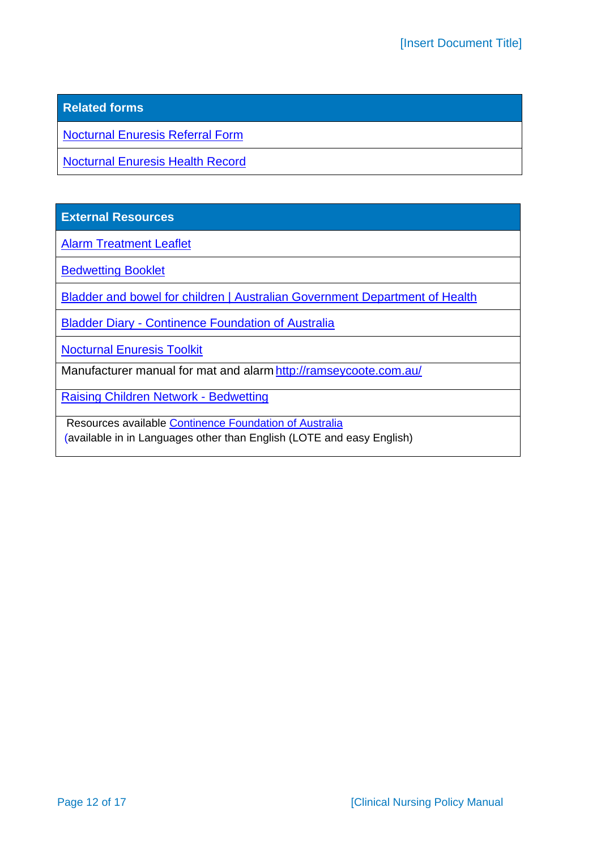## **Related forms**

[Nocturnal Enuresis Referral Form](https://cahs-healthpoint.hdwa.health.wa.gov.au/cach/forms/Referral%20Documents/CHS150_Nocturnal_enuresis_referral_form_FNL.PDF)

[Nocturnal Enuresis Health Record](https://cahs-healthpoint.hdwa.health.wa.gov.au/cach/forms/School%20Health%20Documents/CHS151_Nocturnal_enuresis_health_record_FNL.pdf)

**External Resources**

[Alarm Treatment Leaflet](http://i-c-c-s.org/wp-content/uploads/2015/05/Alarm-Treatment-Leaflet.pdf)

[Bedwetting Booklet](http://i-c-c-s.org/wp-content/uploads/2015/05/Bedwetting-Booklet.pdf)

[Bladder and bowel for children | Australian Government Department of Health](https://www.health.gov.au/health-topics/bladder-and-bowel/bladder-and-bowel-throughout-life/bladder-and-bowel-for-children)

**Bladder Diary - Continence [Foundation of Australia](https://www.continence.org.au/resource/bladder-diary-instructions)** 

[Nocturnal Enuresis Toolkit](https://www.neresourcekit.com.au/Nocturnal%20Enuresis%20Resource%20Kit%20second%20edition.pdf)

Manufacturer manual for mat and alarm <http://ramseycoote.com.au/>

[Raising Children Network -](https://raisingchildren.net.au/preschoolers/sleep/night-time-problems/bedwetting) Bedwetting

Resources available Continence Foundation of Australia (available in in Languages other than English (LOTE and easy English)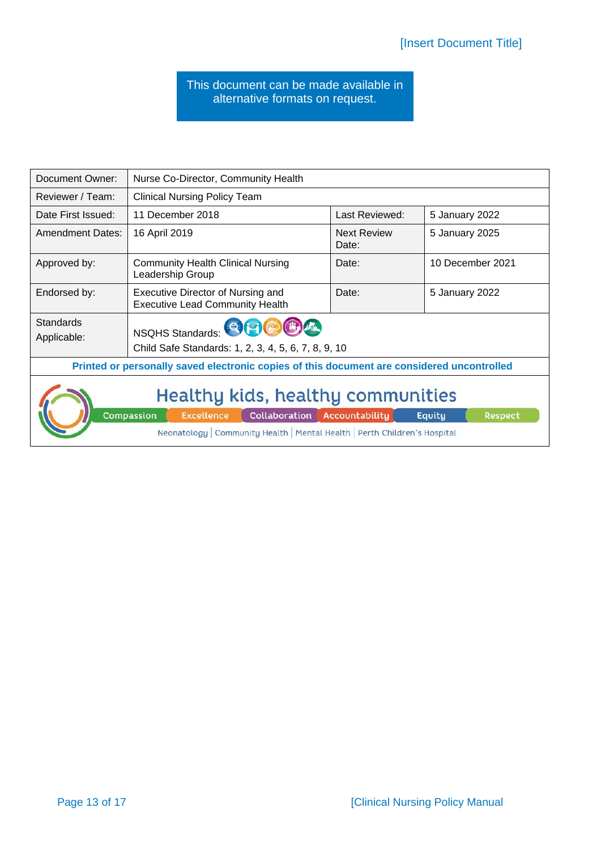#### This document can be made available in alternative formats on request.

| Document Owner:                                                                                                                                                                                                       | Nurse Co-Director, Community Health                                                   |                             |                  |  |  |
|-----------------------------------------------------------------------------------------------------------------------------------------------------------------------------------------------------------------------|---------------------------------------------------------------------------------------|-----------------------------|------------------|--|--|
| Reviewer / Team:                                                                                                                                                                                                      | <b>Clinical Nursing Policy Team</b>                                                   |                             |                  |  |  |
| Date First Issued:                                                                                                                                                                                                    | 11 December 2018                                                                      | Last Reviewed:              | 5 January 2022   |  |  |
| <b>Amendment Dates:</b>                                                                                                                                                                                               | 16 April 2019                                                                         | <b>Next Review</b><br>Date: | 5 January 2025   |  |  |
| Approved by:                                                                                                                                                                                                          | <b>Community Health Clinical Nursing</b><br>Leadership Group                          | Date:                       | 10 December 2021 |  |  |
| Endorsed by:                                                                                                                                                                                                          | Executive Director of Nursing and<br><b>Executive Lead Community Health</b>           | Date:                       | 5 January 2022   |  |  |
| <b>Standards</b><br>Applicable:                                                                                                                                                                                       | NSQHS Standards: <b>BHOODA</b><br>Child Safe Standards: 1, 2, 3, 4, 5, 6, 7, 8, 9, 10 |                             |                  |  |  |
| Printed or personally saved electronic copies of this document are considered uncontrolled                                                                                                                            |                                                                                       |                             |                  |  |  |
| Healthy kids, healthy communities<br>Compassion<br><b>Collaboration Accountability</b><br><b>Excellence</b><br>Equity<br><b>Respect</b><br>Neonatology   Community Health   Mental Health   Perth Children's Hospital |                                                                                       |                             |                  |  |  |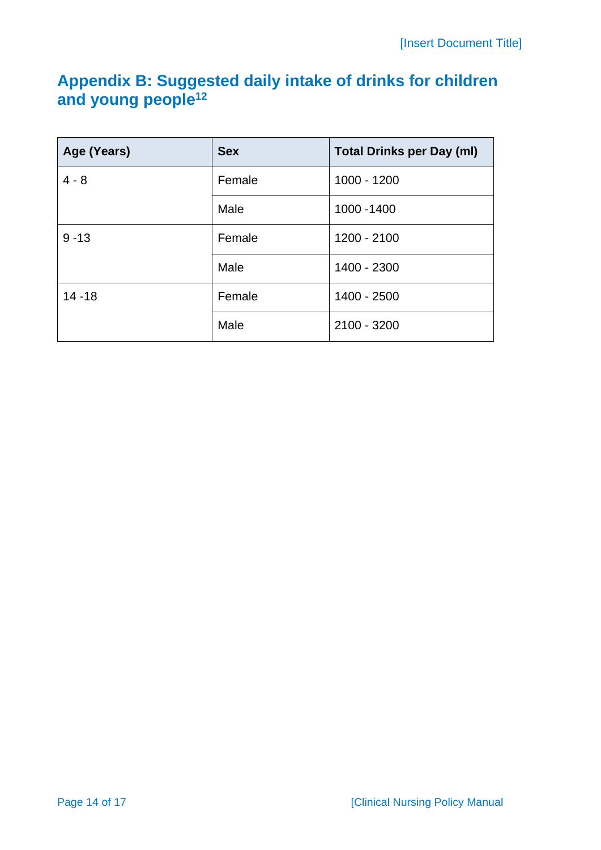# **Appendix B: Suggested daily intake of drinks for children and young people<sup>12</sup>**

| Age (Years)        | <b>Sex</b><br><b>Total Drinks per Day (ml)</b> |               |  |
|--------------------|------------------------------------------------|---------------|--|
| $4 - 8$            | Female                                         | $1000 - 1200$ |  |
|                    | Male                                           | 1000 - 1400   |  |
| $9 - 13$<br>Female |                                                | 1200 - 2100   |  |
|                    | Male                                           | 1400 - 2300   |  |
| $14 - 18$          | Female                                         | 1400 - 2500   |  |
|                    | Male                                           | 2100 - 3200   |  |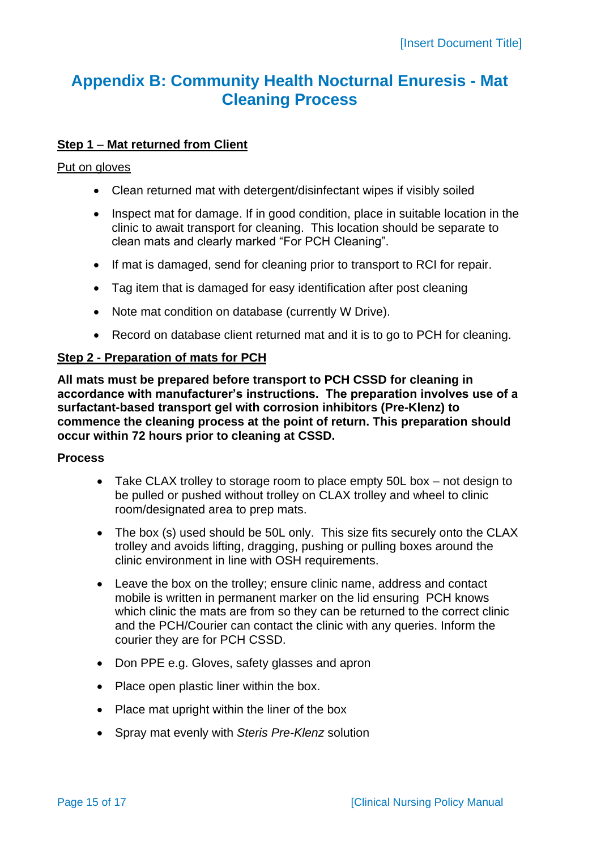# **Appendix B: Community Health Nocturnal Enuresis - Mat Cleaning Process**

## **Step 1** – **Mat returned from Client**

#### Put on gloves

- Clean returned mat with detergent/disinfectant wipes if visibly soiled
- Inspect mat for damage. If in good condition, place in suitable location in the clinic to await transport for cleaning. This location should be separate to clean mats and clearly marked "For PCH Cleaning".
- If mat is damaged, send for cleaning prior to transport to RCI for repair.
- Tag item that is damaged for easy identification after post cleaning
- Note mat condition on database (currently W Drive).
- Record on database client returned mat and it is to go to PCH for cleaning.

### **Step 2 - Preparation of mats for PCH**

**All mats must be prepared before transport to PCH CSSD for cleaning in accordance with manufacturer's instructions. The preparation involves use of a surfactant-based transport gel with corrosion inhibitors (Pre-Klenz) to commence the cleaning process at the point of return. This preparation should occur within 72 hours prior to cleaning at CSSD.** 

#### **Process**

- Take CLAX trolley to storage room to place empty 50L box not design to be pulled or pushed without trolley on CLAX trolley and wheel to clinic room/designated area to prep mats.
- The box (s) used should be 50L only. This size fits securely onto the CLAX trolley and avoids lifting, dragging, pushing or pulling boxes around the clinic environment in line with OSH requirements.
- Leave the box on the trolley; ensure clinic name, address and contact mobile is written in permanent marker on the lid ensuring PCH knows which clinic the mats are from so they can be returned to the correct clinic and the PCH/Courier can contact the clinic with any queries. Inform the courier they are for PCH CSSD.
- Don PPE e.g. Gloves, safety glasses and apron
- Place open plastic liner within the box.
- Place mat upright within the liner of the box
- Spray mat evenly with *Steris Pre-Klenz* solution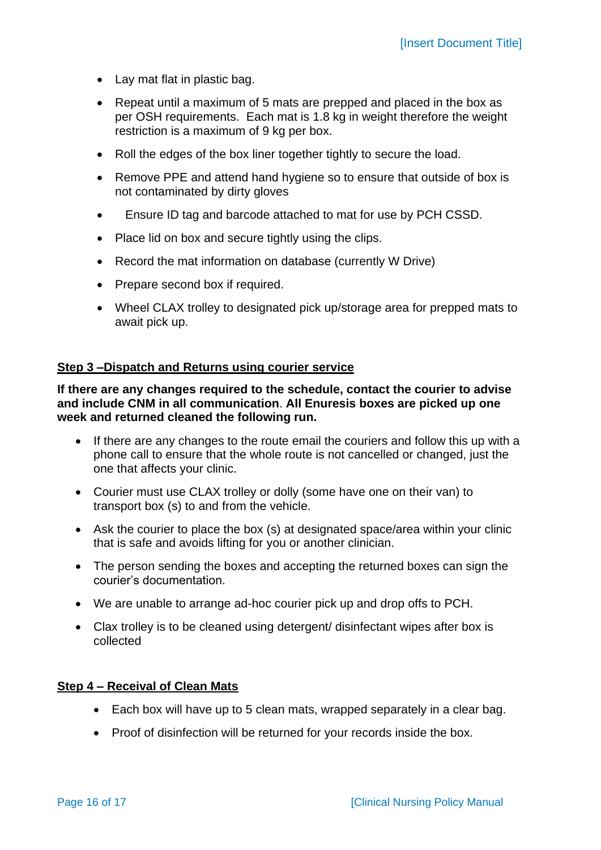- Lay mat flat in plastic bag.
- Repeat until a maximum of 5 mats are prepped and placed in the box as per OSH requirements. Each mat is 1.8 kg in weight therefore the weight restriction is a maximum of 9 kg per box.
- Roll the edges of the box liner together tightly to secure the load.
- Remove PPE and attend hand hygiene so to ensure that outside of box is not contaminated by dirty gloves
- Ensure ID tag and barcode attached to mat for use by PCH CSSD.
- Place lid on box and secure tightly using the clips.
- Record the mat information on database (currently W Drive)
- Prepare second box if required.
- Wheel CLAX trolley to designated pick up/storage area for prepped mats to await pick up.

#### **Step 3 –Dispatch and Returns using courier service**

**If there are any changes required to the schedule, contact the courier to advise and include CNM in all communication**. **All Enuresis boxes are picked up one week and returned cleaned the following run.** 

- If there are any changes to the route email the couriers and follow this up with a phone call to ensure that the whole route is not cancelled or changed, just the one that affects your clinic.
- Courier must use CLAX trolley or dolly (some have one on their van) to transport box (s) to and from the vehicle.
- Ask the courier to place the box (s) at designated space/area within your clinic that is safe and avoids lifting for you or another clinician.
- The person sending the boxes and accepting the returned boxes can sign the courier's documentation.
- We are unable to arrange ad-hoc courier pick up and drop offs to PCH.
- Clax trolley is to be cleaned using detergent/ disinfectant wipes after box is collected

#### **Step 4 – Receival of Clean Mats**

- Each box will have up to 5 clean mats, wrapped separately in a clear bag.
- Proof of disinfection will be returned for your records inside the box.